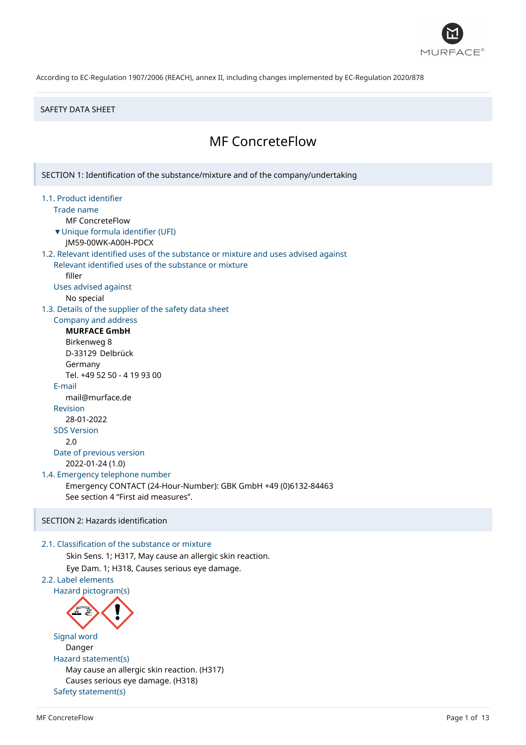

#### SAFETY DATA SHEET

# MF ConcreteFlow

SECTION 1: Identification of the substance/mixture and of the company/undertaking 1.1. Product identifier Trade name MF ConcreteFlow ▼Unique formula identifier (UFI) JM59-00WK-A00H-PDCX 1.2. Relevant identified uses of the substance or mixture and uses advised against Relevant identified uses of the substance or mixture filler Uses advised against No special 1.3. Details of the supplier of the safety data sheet Company and address **MURFACE GmbH** Birkenweg 8 D-33129 Delbrück Germany Tel. +49 52 50 - 4 19 93 00 E-mail mail@murface.de Revision 28-01-2022 SDS Version 2.0 Date of previous version 2022-01-24 (1.0) 1.4. Emergency telephone number Emergency CONTACT (24-Hour-Number): GBK GmbH +49 (0)6132-84463 See section 4 "First aid measures". SECTION 2: Hazards identification 2.1. Classification of the substance or mixture Skin Sens. 1; H317, May cause an allergic skin reaction. Eye Dam. 1; H318, Causes serious eye damage. 2.2. Label elements Hazard pictogram(s) Signal word Danger Hazard statement(s) May cause an allergic skin reaction. (H317) Causes serious eye damage. (H318) Safety statement(s)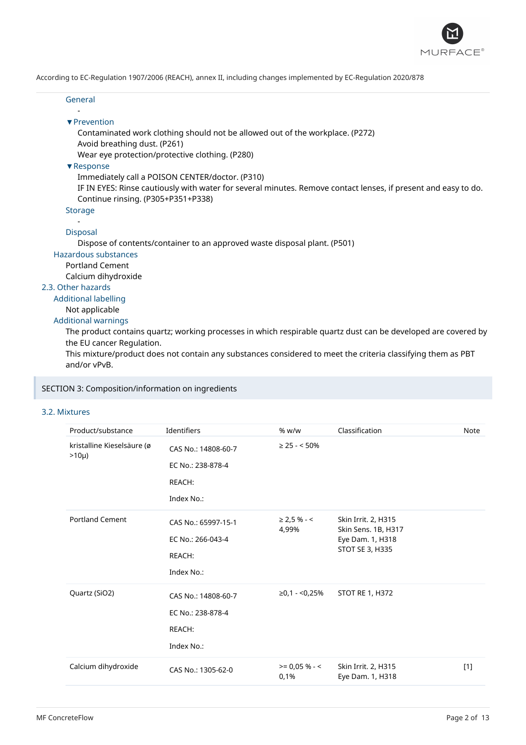

#### General -

### ▼Prevention

Contaminated work clothing should not be allowed out of the workplace. (P272) Avoid breathing dust. (P261)

Wear eye protection/protective clothing. (P280)

### ▼Response

Immediately call a POISON CENTER/doctor. (P310)

IF IN EYES: Rinse cautiously with water for several minutes. Remove contact lenses, if present and easy to do. Continue rinsing. (P305+P351+P338)

**Storage** 

### -

# Disposal

Dispose of contents/container to an approved waste disposal plant. (P501)

### Hazardous substances

Portland Cement

Calcium dihydroxide

# 2.3. Other hazards

Additional labelling

# Not applicable

### Additional warnings

The product contains quartz; working processes in which respirable quartz dust can be developed are covered by the EU cancer Regulation.

This mixture/product does not contain any substances considered to meet the criteria classifying them as PBT and/or vPvB.

### SECTION 3: Composition/information on ingredients

### 3.2. Mixtures

| Product/substance                        | Identifiers                                                      | % w/w                     | Classification                                                                    | Note  |
|------------------------------------------|------------------------------------------------------------------|---------------------------|-----------------------------------------------------------------------------------|-------|
| kristalline Kieselsäure (ø<br>$>10\mu$ ) | CAS No.: 14808-60-7<br>EC No.: 238-878-4<br>REACH:<br>Index No.: | $\geq$ 25 - < 50%         |                                                                                   |       |
| <b>Portland Cement</b>                   | CAS No.: 65997-15-1<br>EC No.: 266-043-4<br>REACH:<br>Index No.: | $\geq$ 2,5 % - <<br>4,99% | Skin Irrit. 2, H315<br>Skin Sens. 1B, H317<br>Eye Dam. 1, H318<br>STOT SE 3, H335 |       |
| Quartz (SiO2)                            | CAS No.: 14808-60-7<br>EC No.: 238-878-4<br>REACH:<br>Index No.: | ≥0,1 - <0,25%             | <b>STOT RE 1, H372</b>                                                            |       |
| Calcium dihydroxide                      | CAS No.: 1305-62-0                                               | $>= 0,05% - <$<br>0,1%    | Skin Irrit. 2, H315<br>Eye Dam. 1, H318                                           | $[1]$ |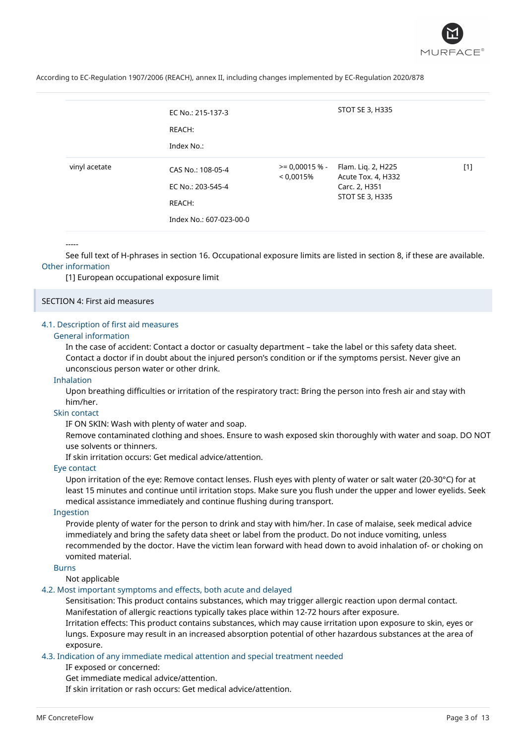

|               | EC No.: 215-137-3<br>REACH:<br>Index No.: |                                  | STOT SE 3, H335                                           |       |
|---------------|-------------------------------------------|----------------------------------|-----------------------------------------------------------|-------|
| vinyl acetate | CAS No.: 108-05-4<br>EC No.: 203-545-4    | $\ge$ = 0,00015 % -<br>< 0.0015% | Flam. Liq. 2, H225<br>Acute Tox. 4, H332<br>Carc. 2, H351 | $[1]$ |
|               | REACH:                                    |                                  | STOT SE 3, H335                                           |       |
|               | Index No.: 607-023-00-0                   |                                  |                                                           |       |

#### -----

See full text of H-phrases in section 16. Occupational exposure limits are listed in section 8, if these are available. Other information

[1] European occupational exposure limit

#### SECTION 4: First aid measures

#### 4.1. Description of first aid measures

### General information

In the case of accident: Contact a doctor or casualty department – take the label or this safety data sheet. Contact a doctor if in doubt about the injured person's condition or if the symptoms persist. Never give an unconscious person water or other drink.

#### Inhalation

Upon breathing difficulties or irritation of the respiratory tract: Bring the person into fresh air and stay with him/her.

#### Skin contact

IF ON SKIN: Wash with plenty of water and soap.

Remove contaminated clothing and shoes. Ensure to wash exposed skin thoroughly with water and soap. DO NOT use solvents or thinners.

If skin irritation occurs: Get medical advice/attention.

### Eye contact

Upon irritation of the eye: Remove contact lenses. Flush eyes with plenty of water or salt water (20-30°C) for at least 15 minutes and continue until irritation stops. Make sure you flush under the upper and lower eyelids. Seek medical assistance immediately and continue flushing during transport.

#### Ingestion

Provide plenty of water for the person to drink and stay with him/her. In case of malaise, seek medical advice immediately and bring the safety data sheet or label from the product. Do not induce vomiting, unless recommended by the doctor. Have the victim lean forward with head down to avoid inhalation of- or choking on vomited material.

### Burns

Not applicable

#### 4.2. Most important symptoms and effects, both acute and delayed

Sensitisation: This product contains substances, which may trigger allergic reaction upon dermal contact. Manifestation of allergic reactions typically takes place within 12-72 hours after exposure.

Irritation effects: This product contains substances, which may cause irritation upon exposure to skin, eyes or lungs. Exposure may result in an increased absorption potential of other hazardous substances at the area of exposure.

### 4.3. Indication of any immediate medical attention and special treatment needed

IF exposed or concerned:

Get immediate medical advice/attention.

If skin irritation or rash occurs: Get medical advice/attention.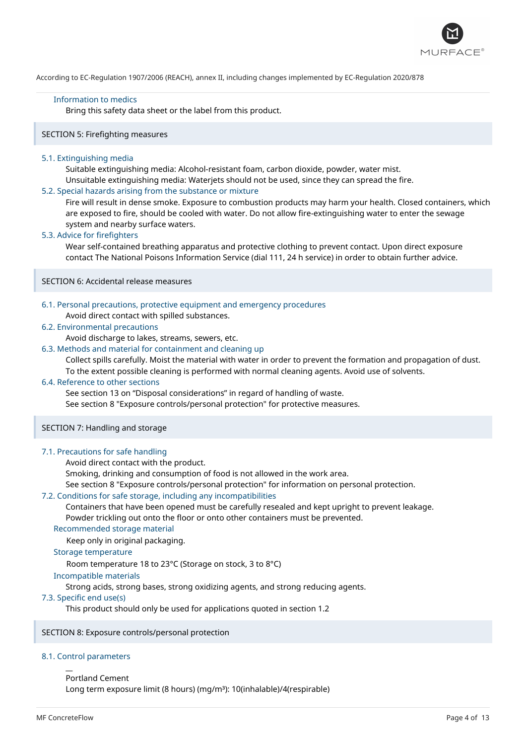

#### Information to medics

Bring this safety data sheet or the label from this product.

### SECTION 5: Firefighting measures

#### 5.1. Extinguishing media

Suitable extinguishing media: Alcohol-resistant foam, carbon dioxide, powder, water mist. Unsuitable extinguishing media: Waterjets should not be used, since they can spread the fire.

### 5.2. Special hazards arising from the substance or mixture

Fire will result in dense smoke. Exposure to combustion products may harm your health. Closed containers, which are exposed to fire, should be cooled with water. Do not allow fire-extinguishing water to enter the sewage system and nearby surface waters.

#### 5.3. Advice for firefighters

Wear self-contained breathing apparatus and protective clothing to prevent contact. Upon direct exposure contact The National Poisons Information Service (dial 111, 24 h service) in order to obtain further advice.

SECTION 6: Accidental release measures

### 6.1. Personal precautions, protective equipment and emergency procedures

Avoid direct contact with spilled substances.

### 6.2. Environmental precautions

Avoid discharge to lakes, streams, sewers, etc.

#### 6.3. Methods and material for containment and cleaning up

Collect spills carefully. Moist the material with water in order to prevent the formation and propagation of dust. To the extent possible cleaning is performed with normal cleaning agents. Avoid use of solvents.

#### 6.4. Reference to other sections

See section 13 on "Disposal considerations" in regard of handling of waste.

See section 8 "Exposure controls/personal protection" for protective measures.

### SECTION 7: Handling and storage

#### 7.1. Precautions for safe handling

Avoid direct contact with the product.

Smoking, drinking and consumption of food is not allowed in the work area.

See section 8 "Exposure controls/personal protection" for information on personal protection.

#### 7.2. Conditions for safe storage, including any incompatibilities

Containers that have been opened must be carefully resealed and kept upright to prevent leakage.

Powder trickling out onto the floor or onto other containers must be prevented.

# Recommended storage material

Keep only in original packaging.

#### Storage temperature

Room temperature 18 to 23°C (Storage on stock, 3 to 8°C)

#### Incompatible materials

Strong acids, strong bases, strong oxidizing agents, and strong reducing agents.

#### 7.3. Specific end use(s)

This product should only be used for applications quoted in section 1.2

### SECTION 8: Exposure controls/personal protection

### 8.1. Control parameters

Portland Cement Long term exposure limit (8 hours) (mg/m<sup>3</sup>): 10(inhalable)/4(respirable)

 $\overline{a}$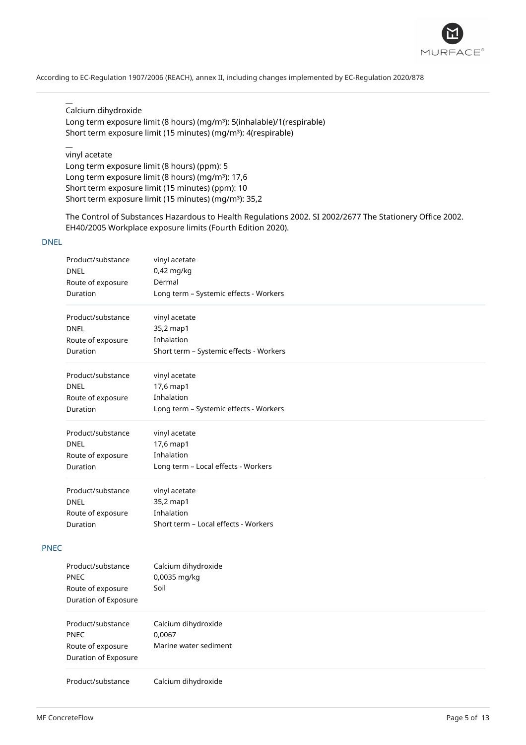

# Calcium dihydroxide

 $\overline{a}$ 

 $\overline{a}$ 

Long term exposure limit (8 hours) (mg/m<sup>3</sup>): 5(inhalable)/1(respirable) Short term exposure limit (15 minutes) (mg/m<sup>3</sup>): 4(respirable)

# vinyl acetate Long term exposure limit (8 hours) (ppm): 5 Long term exposure limit (8 hours) (mg/m<sup>3</sup>): 17,6 Short term exposure limit (15 minutes) (ppm): 10 Short term exposure limit (15 minutes) (mg/m<sup>3</sup>): 35,2

The Control of Substances Hazardous to Health Regulations 2002. SI 2002/2677 The Stationery Office 2002. EH40/2005 Workplace exposure limits (Fourth Edition 2020).

### DNEL

|             | Product/substance<br><b>DNEL</b><br>Route of exposure | vinyl acetate<br>0,42 mg/kg<br>Dermal   |
|-------------|-------------------------------------------------------|-----------------------------------------|
|             | Duration                                              | Long term - Systemic effects - Workers  |
|             | Product/substance                                     | vinyl acetate                           |
|             | <b>DNEL</b>                                           | 35,2 map1                               |
|             | Route of exposure                                     | Inhalation                              |
|             | Duration                                              | Short term - Systemic effects - Workers |
|             | Product/substance                                     | vinyl acetate                           |
|             | <b>DNEL</b>                                           | 17,6 map1                               |
|             | Route of exposure                                     | Inhalation                              |
|             | Duration                                              | Long term - Systemic effects - Workers  |
|             | Product/substance                                     | vinyl acetate                           |
|             | <b>DNEL</b>                                           | 17,6 map1                               |
|             | Route of exposure                                     | Inhalation                              |
|             | Duration                                              | Long term - Local effects - Workers     |
|             | Product/substance                                     | vinyl acetate                           |
|             | <b>DNEL</b>                                           | 35,2 map1                               |
|             | Route of exposure                                     | Inhalation                              |
|             | Duration                                              | Short term - Local effects - Workers    |
| <b>PNEC</b> |                                                       |                                         |
|             |                                                       |                                         |
|             | Product/substance                                     | Calcium dihydroxide                     |
|             | <b>PNEC</b>                                           | 0,0035 mg/kg                            |
|             | Route of exposure                                     | Soil                                    |
|             | Duration of Exposure                                  |                                         |
|             | Product/substance                                     | Calcium dihydroxide                     |
|             | <b>PNEC</b>                                           | 0,0067                                  |
|             | Route of exposure<br>Duration of Exposure             | Marine water sediment                   |
|             | Product/substance                                     | Calcium dihydroxide                     |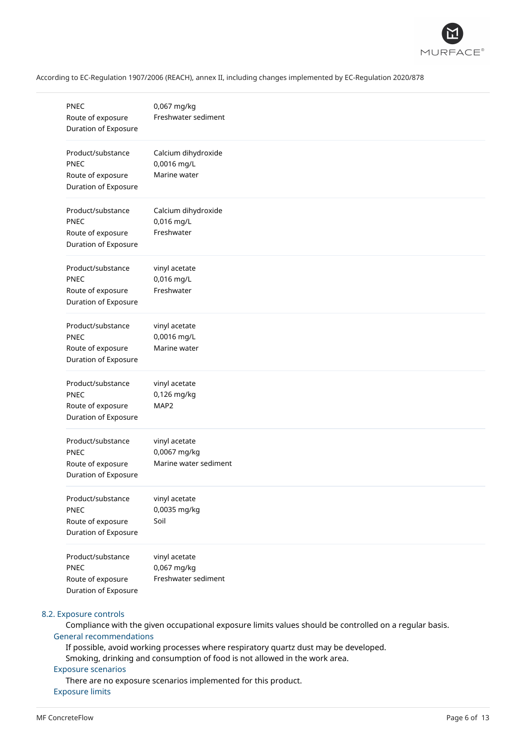

| <b>PNEC</b><br>Route of exposure<br>Duration of Exposure                      | 0,067 mg/kg<br>Freshwater sediment                     |
|-------------------------------------------------------------------------------|--------------------------------------------------------|
| Product/substance<br><b>PNEC</b><br>Route of exposure<br>Duration of Exposure | Calcium dihydroxide<br>0,0016 mg/L<br>Marine water     |
| Product/substance<br><b>PNEC</b><br>Route of exposure<br>Duration of Exposure | Calcium dihydroxide<br>0,016 mg/L<br>Freshwater        |
| Product/substance<br><b>PNEC</b><br>Route of exposure<br>Duration of Exposure | vinyl acetate<br>0,016 mg/L<br>Freshwater              |
| Product/substance<br><b>PNEC</b><br>Route of exposure<br>Duration of Exposure | vinyl acetate<br>0,0016 mg/L<br>Marine water           |
| Product/substance<br><b>PNEC</b><br>Route of exposure<br>Duration of Exposure | vinyl acetate<br>0,126 mg/kg<br>MAP2                   |
| Product/substance<br><b>PNEC</b><br>Route of exposure<br>Duration of Exposure | vinyl acetate<br>0,0067 mg/kg<br>Marine water sediment |
| Product/substance<br><b>PNEC</b><br>Route of exposure<br>Duration of Exposure | vinyl acetate<br>0,0035 mg/kg<br>Soil                  |
| Product/substance<br>PNEC<br>Route of exposure<br>Duration of Exposure        | vinyl acetate<br>0,067 mg/kg<br>Freshwater sediment    |

### 8.2. Exposure controls

Compliance with the given occupational exposure limits values should be controlled on a regular basis. General recommendations

If possible, avoid working processes where respiratory quartz dust may be developed.

Smoking, drinking and consumption of food is not allowed in the work area.

### Exposure scenarios

There are no exposure scenarios implemented for this product. Exposure limits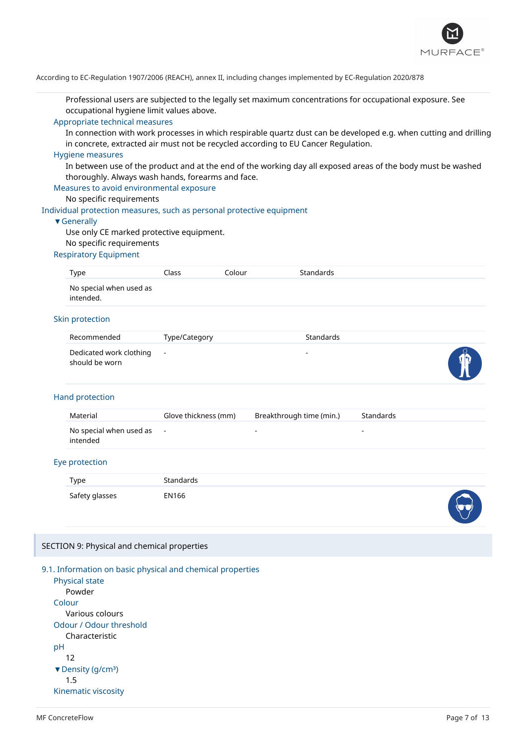

Professional users are subjected to the legally set maximum concentrations for occupational exposure. See occupational hygiene limit values above.

#### Appropriate technical measures

In connection with work processes in which respirable quartz dust can be developed e.g. when cutting and drilling in concrete, extracted air must not be recycled according to EU Cancer Regulation.

#### Hygiene measures

In between use of the product and at the end of the working day all exposed areas of the body must be washed thoroughly. Always wash hands, forearms and face.

#### Measures to avoid environmental exposure

### No specific requirements

Individual protection measures, such as personal protective equipment

#### ▼Generally

Use only CE marked protective equipment. No specific requirements

### Respiratory Equipment

| Type                                 | Class | Colour | <b>Standards</b> |
|--------------------------------------|-------|--------|------------------|
| No special when used as<br>intended. |       |        |                  |
|                                      |       |        |                  |

### Skin protection

| Recommended                                 | Type/Category | <b>Standards</b> |               |
|---------------------------------------------|---------------|------------------|---------------|
| Dedicated work clothing -<br>should be worn |               | -                | $\frac{1}{2}$ |

#### Hand protection

| Material                              | Glove thickness (mm) | Breakthrough time (min.) | Standards |
|---------------------------------------|----------------------|--------------------------|-----------|
| No special when used as -<br>intended |                      | -                        |           |

### Eye protection

| Type           | <b>Standards</b> |                |
|----------------|------------------|----------------|
| Safety glasses | EN166            | <b>Section</b> |

#### SECTION 9: Physical and chemical properties

#### 9.1. Information on basic physical and chemical properties

Physical state Powder Colour Various colours Odour / Odour threshold Characteristic pH 12 ▼ Density (g/cm<sup>3</sup>) 1.5 Kinematic viscosity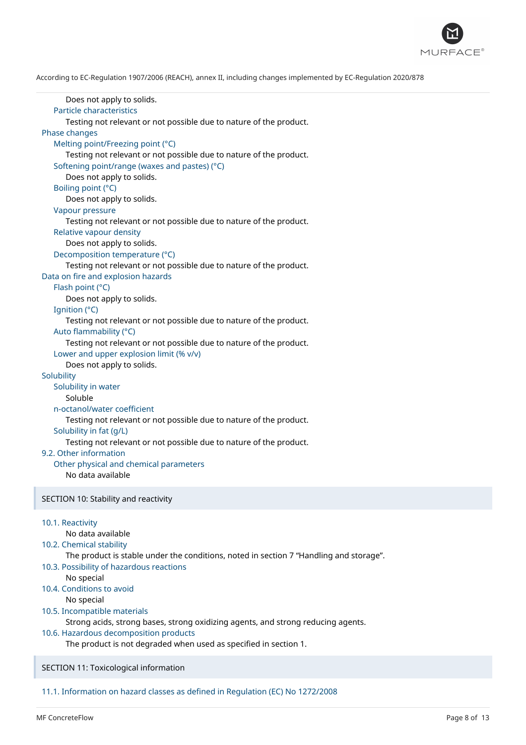

Does not apply to solids. Particle characteristics Testing not relevant or not possible due to nature of the product. Phase changes Melting point/Freezing point (°C) Testing not relevant or not possible due to nature of the product. Softening point/range (waxes and pastes) (°C) Does not apply to solids. Boiling point (°C) Does not apply to solids. Vapour pressure Testing not relevant or not possible due to nature of the product. Relative vapour density Does not apply to solids. Decomposition temperature (°C) Testing not relevant or not possible due to nature of the product. Data on fire and explosion hazards Flash point (°C) Does not apply to solids. Ignition (°C) Testing not relevant or not possible due to nature of the product. Auto flammability (°C) Testing not relevant or not possible due to nature of the product. Lower and upper explosion limit (% v/v) Does not apply to solids. **Solubility** Solubility in water Soluble n-octanol/water coefficient Testing not relevant or not possible due to nature of the product. Solubility in fat (g/L) Testing not relevant or not possible due to nature of the product. 9.2. Other information Other physical and chemical parameters No data available SECTION 10: Stability and reactivity 10.1. Reactivity No data available 10.2. Chemical stability The product is stable under the conditions, noted in section 7 "Handling and storage". 10.3. Possibility of hazardous reactions No special 10.4. Conditions to avoid No special 10.5. Incompatible materials

Strong acids, strong bases, strong oxidizing agents, and strong reducing agents.

#### 10.6. Hazardous decomposition products

The product is not degraded when used as specified in section 1.

SECTION 11: Toxicological information

11.1. Information on hazard classes as defined in Regulation (EC) No 1272/2008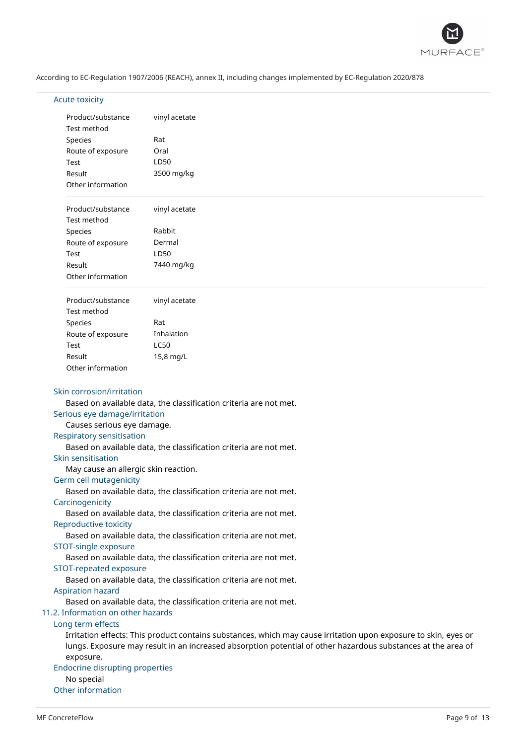

# Acute toxicity

| Product/substance                                           | vinyl acetate                                                                                                   |
|-------------------------------------------------------------|-----------------------------------------------------------------------------------------------------------------|
| Test method                                                 |                                                                                                                 |
| Species                                                     | Rat                                                                                                             |
| Route of exposure                                           | Oral                                                                                                            |
| Test                                                        | LD50                                                                                                            |
| Result                                                      | 3500 mg/kg                                                                                                      |
| Other information                                           |                                                                                                                 |
| Product/substance<br>Test method                            | vinyl acetate                                                                                                   |
| Species                                                     | Rabbit                                                                                                          |
| Route of exposure                                           | Dermal                                                                                                          |
| Test                                                        | LD50                                                                                                            |
| Result                                                      | 7440 mg/kg                                                                                                      |
| Other information                                           |                                                                                                                 |
| Product/substance                                           | vinyl acetate                                                                                                   |
| Test method                                                 |                                                                                                                 |
| Species                                                     | Rat                                                                                                             |
| Route of exposure                                           | Inhalation                                                                                                      |
| Test                                                        | <b>LC50</b>                                                                                                     |
| Result                                                      | 15,8 mg/L                                                                                                       |
| Other information                                           |                                                                                                                 |
| Serious eye damage/irritation<br>Causes serious eye damage. | Based on available data, the classification criteria are not met.                                               |
| <b>Respiratory sensitisation</b>                            |                                                                                                                 |
|                                                             | Based on available data, the classification criteria are not met.                                               |
| Skin sensitisation                                          |                                                                                                                 |
| May cause an allergic skin reaction.                        |                                                                                                                 |
| Germ cell mutagenicity                                      | Based on available data, the classification criteria are not met.                                               |
| Carcinogenicity                                             |                                                                                                                 |
|                                                             | Based on available data, the classification criteria are not met.                                               |
| Reproductive toxicity                                       |                                                                                                                 |
|                                                             | Based on available data, the classification criteria are not met.                                               |
| STOT-single exposure                                        |                                                                                                                 |
|                                                             | Based on available data, the classification criteria are not met.                                               |
| STOT-repeated exposure                                      |                                                                                                                 |
|                                                             | Based on available data, the classification criteria are not met.                                               |
| <b>Aspiration hazard</b>                                    |                                                                                                                 |
| 11.2. Information on other hazards                          | Based on available data, the classification criteria are not met.                                               |
| Long term effects                                           |                                                                                                                 |
|                                                             | Irritation effects: This product contains substances, which may cause irritation upon exposure to skin, eyes or |
|                                                             | lungs. Exposure may result in an increased absorption potential of other hazardous substances at the area of    |
| exposure.                                                   |                                                                                                                 |
| <b>Endocrine disrupting properties</b>                      |                                                                                                                 |
| No special                                                  |                                                                                                                 |

Other information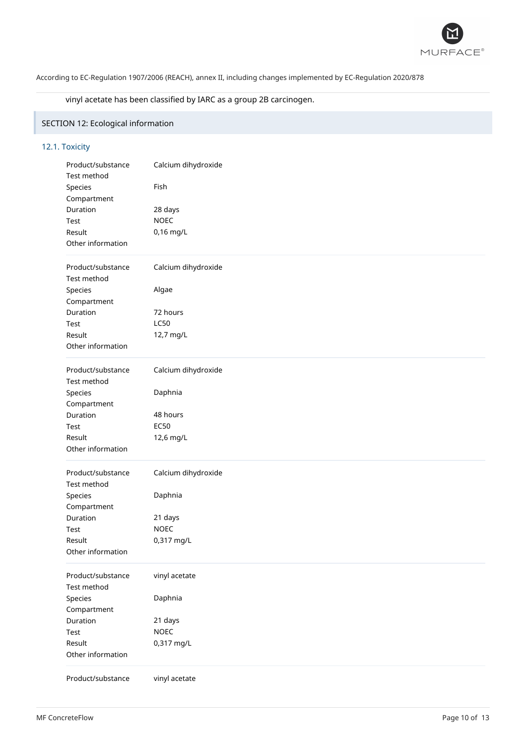

# vinyl acetate has been classified by IARC as a group 2B carcinogen.

# SECTION 12: Ecological information

# 12.1. Toxicity

| Product/substance | Calcium dihydroxide |
|-------------------|---------------------|
| Test method       |                     |
| Species           | Fish                |
| Compartment       |                     |
| Duration          | 28 days             |
| Test              | <b>NOEC</b>         |
| Result            | 0,16 mg/L           |
| Other information |                     |
| Product/substance | Calcium dihydroxide |
| Test method       |                     |
| Species           | Algae               |
| Compartment       |                     |
| Duration          | 72 hours            |
| Test              | <b>LC50</b>         |
| Result            | 12,7 mg/L           |
| Other information |                     |
|                   |                     |
| Product/substance | Calcium dihydroxide |
| Test method       |                     |
| Species           | Daphnia             |
| Compartment       |                     |
| Duration          | 48 hours            |
| Test              | <b>EC50</b>         |
| Result            | 12,6 mg/L           |
| Other information |                     |
| Product/substance | Calcium dihydroxide |
| Test method       |                     |
| Species           | Daphnia             |
| Compartment       |                     |
| Duration          | 21 days             |
| Test              | <b>NOEC</b>         |
| Result            | 0,317 mg/L          |
| Other information |                     |
| Product/substance | vinyl acetate       |
| Test method       |                     |
| Species           | Daphnia             |
| Compartment       |                     |
| Duration          | 21 days             |
| Test              | <b>NOEC</b>         |
| Result            |                     |
|                   | 0,317 mg/L          |
| Other information |                     |
| Product/substance | vinyl acetate       |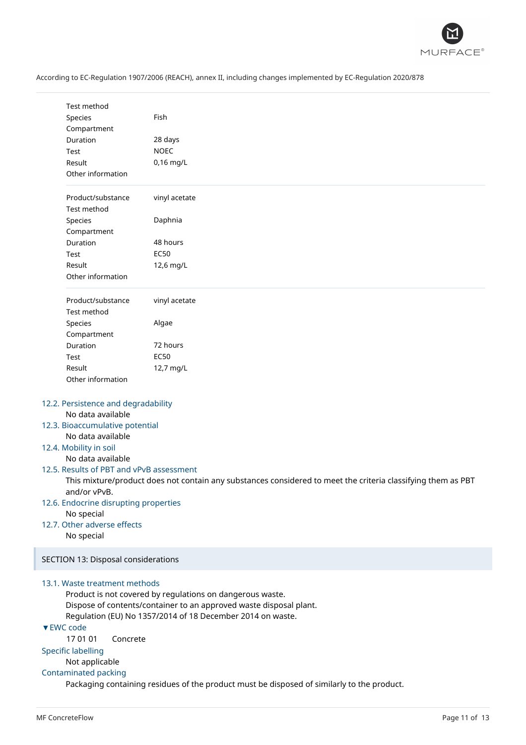

# No data available

# 12.5. Results of PBT and vPvB assessment

This mixture/product does not contain any substances considered to meet the criteria classifying them as PBT and/or vPvB.

- 12.6. Endocrine disrupting properties No special
- 12.7. Other adverse effects No special

SECTION 13: Disposal considerations

### 13.1. Waste treatment methods

Product is not covered by regulations on dangerous waste. Dispose of contents/container to an approved waste disposal plant. Regulation (EU) No 1357/2014 of 18 December 2014 on waste.

# ▼EWC code

17 01 01 Concrete

### Specific labelling

Not applicable

# Contaminated packing

Packaging containing residues of the product must be disposed of similarly to the product.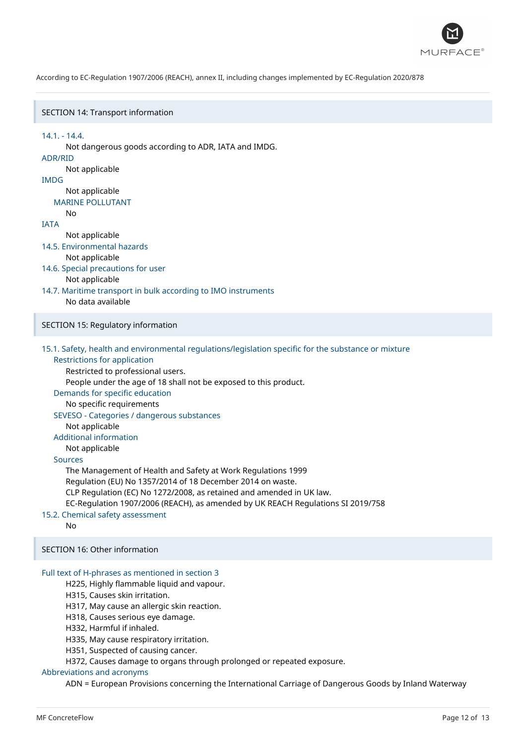

#### SECTION 14: Transport information

14.1. - 14.4. Not dangerous goods according to ADR, IATA and IMDG. ADR/RID Not applicable IMDG Not applicable MARINE POLLUTANT  $N<sub>0</sub>$ IATA Not applicable 14.5. Environmental hazards Not applicable 14.6. Special precautions for user Not applicable 14.7. Maritime transport in bulk according to IMO instruments No data available SECTION 15: Regulatory information 15.1. Safety, health and environmental regulations/legislation specific for the substance or mixture Restrictions for application Restricted to professional users. People under the age of 18 shall not be exposed to this product. Demands for specific education No specific requirements SEVESO - Categories / dangerous substances Not applicable Additional information Not applicable Sources

The Management of Health and Safety at Work Regulations 1999

Regulation (EU) No 1357/2014 of 18 December 2014 on waste.

CLP Regulation (EC) No 1272/2008, as retained and amended in UK law.

EC-Regulation 1907/2006 (REACH), as amended by UK REACH Regulations SI 2019/758

15.2. Chemical safety assessment

No

SECTION 16: Other information

#### Full text of H-phrases as mentioned in section 3

- H225, Highly flammable liquid and vapour.
- H315, Causes skin irritation.
- H317, May cause an allergic skin reaction.
- H318, Causes serious eye damage.
- H332, Harmful if inhaled.
- H335, May cause respiratory irritation.
- H351, Suspected of causing cancer.
	- H372, Causes damage to organs through prolonged or repeated exposure.

#### Abbreviations and acronyms

ADN = European Provisions concerning the International Carriage of Dangerous Goods by Inland Waterway